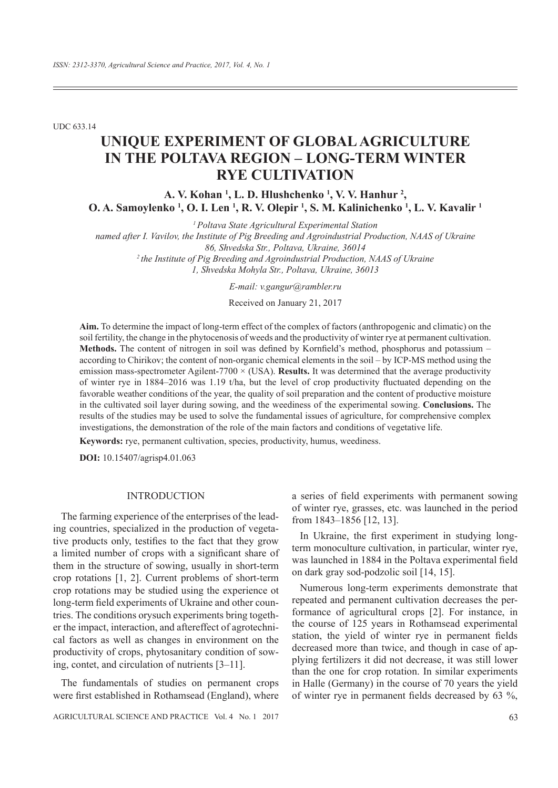UDC 633.14

# **UNIQUE EXPERIMENT OF GLOBAL AGRICULTURE IN THE POLTAVA REGION – LONG-TERM WINTER RYE CULTIVATION**

**A. V. Kohan 1 , L. D. Hlushchenko 1 , V. V. Hanhur 2 , O. A. Samoylenko <sup>1</sup>, <b>O. I.** Len <sup>1</sup>, **R. V. Olepir <sup>1</sup>, S. M. Kalinichenko <sup>1</sup>, L. V. Kavalir <sup>1</sup>** 

*named after ȱ. Vavilov, the Institute of Pig Breeding and Agroindustrial Production, NAAS of Ukraine 86, Shvedska Str., Poltava, Ukraine, 36014 2 the Institute of Pig Breeding and Agroindustrial Production, NAAS of Ukraine*

*1, Shvedska Mohyla Str., Poltava, Ukraine, 36013*

*E-mail: v.gangur@rambler.ru*

Received on January 21, 2017

**Aim.** To determine the impact of long-term effect of the complex of factors (anthropogenic and climatic) on the soil fertility, the change in the phytocenosis of weeds and the productivity of winter rye at permanent cultivation. **Methods.** The content of nitrogen in soil was defined by Kornfield's method, phosphorus and potassium  $$ according to Chirikov; the content of non-organic chemical elements in the soil – by ICP-MS method using the emission mass-spectrometer Agilent-7700 × (USA). **Results.** It was determined that the average productivity of winter rye in 1884–2016 was 1.19 t/ha, but the level of crop productivity À uctuated depending on the favorable weather conditions of the year, the quality of soil preparation and the content of productive moisture in the cultivated soil layer during sowing, and the weediness of the experimental sowing. **Conclusions.** The results of the studies may be used to solve the fundamental issues of agriculture, for comprehensive complex investigations, the demonstration of the role of the main factors and conditions of vegetative life.

**Keywords:** rye, permanent cultivation, species, productivity, humus, weediness.

**DOI:** 10.15407/agrisp4.01.063

# INTRODUCTION

The farming experience of the enterprises of the leading countries, specialized in the production of vegetative products only, testifies to the fact that they grow a limited number of crops with a significant share of them in the structure of sowing, usually in short-term crop rotations [1, 2]. Current problems of short-term crop rotations may be studied using the experience ot long-term field experiments of Ukraine and other countries. The conditions orysuch experiments bring together the impact, interaction, and aftereffect of agrotechnical factors as well as changes in environment on the productivity of crops, phytosanitary condition of sowing, contet, and circulation of nutrients [3–11].

The fundamentals of studies on permanent crops were first established in Rothamsead (England), where

AGRICULTURAL SCIENCE AND PRACTICE Vol. 4 No. 1 2017 63

a series of field experiments with permanent sowing of winter rye, grasses, etc. was launched in the period from 1843–1856 [12, 13].

In Ukraine, the first experiment in studying longterm monoculture cultivation, in particular, winter rye, was launched in 1884 in the Poltava experimental field on dark gray sod-podzolic soil [14, 15].

Numerous long-term experiments demonstrate that repeated and permanent cultivation decreases the performance of agricultural crops [2]. For instance, in the course of 125 years in Rothamsead experimental station, the yield of winter rye in permanent fields decreased more than twice, and though in case of applying fertilizers it did not decrease, it was still lower than the one for crop rotation. In similar experiments in Halle (Germany) in the course of 70 years the yield of winter rye in permanent fields decreased by 63  $\%$ ,

*<sup>1</sup> Poltava State Agricultural Experimental Station*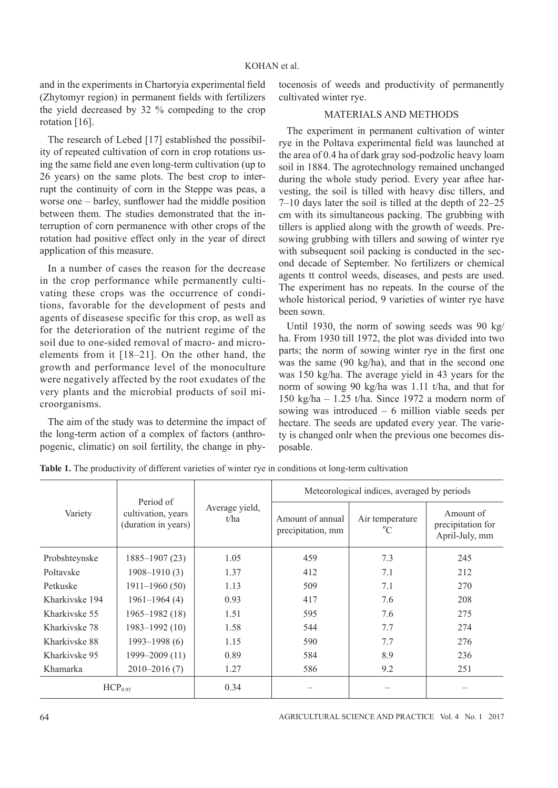and in the experiments in Chartoryia experimental field (Zhytomyr region) in permanent fields with fertilizers the yield decreased by 32 % compeding to the crop rotation [16].

The research of Lebed [17] established the possibility of repeated cultivation of corn in crop rotations using the same field ane even long-term cultivation (up to 26 years) on the same plots. The best crop to interrupt the continuity of corn in the Steppe was peas, a worse one – barley, sunflower had the middle position between them. The studies demonstrated that the interruption of corn permanence with other crops of the rotation had positive effect only in the year of direct application of this measure.

In a number of cases the reason for the decrease in the crop performance while permanently cultivating these crops was the occurrence of conditions, favorable for the development of pests and agents of diseasese specific for this crop, as well as for the deterioration of the nutrient regime of the soil due to one-sided removal of macro- and microelements from it [18–21]. On the other hand, the growth and performance level of the monoculture were negatively affected by the root exudates of the very plants and the microbial products of soil microorganisms.

The aim of the study was to determine the impact of the long-term action of a complex of factors (anthropogenic, climatic) on soil fertility, the change in phytocenosis of weeds and productivity of permanently cultivated winter rye.

## MATERIALS AND METHODS

The experiment in permanent cultivation of winter rye in the Poltava experimental field was launched at the area of 0.4 ha of dark gray sod-podzolic heavy loam soil in 1884. The agrotechnology remained unchanged during the whole study period. Every year aftee harvesting, the soil is tilled with heavy disc tillers, and 7–10 days later the soil is tilled at the depth of 22–25 cm with its simultaneous packing. The grubbing with tillers is applied along with the growth of weeds. Presowing grubbing with tillers and sowing of winter rye with subsequent soil packing is conducted in the second decade of September. No fertilizers or chemical agents tt control weeds, diseases, and pests are used. The experiment has no repeats. In the course of the whole historical period, 9 varieties of winter rye have been sown.

Until 1930, the norm of sowing seeds was 90 kg/ ha. From 1930 till 1972, the plot was divided into two parts; the norm of sowing winter rye in the first one was the same (90 kg/ha), and that in the second one was 150 kg/ha. The average yield in 43 years for the norm of sowing 90 kg/ha was 1.11 t/ha, and that for 150 kg/ha – 1.25 t/ha. Since 1972 a modern norm of sowing was introduced – 6 million viable seeds per hectare. The seeds are updated every year. The variety is changed onlr when the previous one becomes disposable.

| Variety             | Period of<br>cultivation, years<br>(duration in years) | Average yield,<br>t/ha | Meteorological indices, averaged by periods |                       |                                                  |  |  |
|---------------------|--------------------------------------------------------|------------------------|---------------------------------------------|-----------------------|--------------------------------------------------|--|--|
|                     |                                                        |                        | Amount of annual<br>precipitation, mm       | Air temperature<br>°C | Amount of<br>precipitation for<br>April-July, mm |  |  |
| Probshteynske       | 1885–1907 (23)                                         | 1.05                   | 459                                         | 7.3                   | 245                                              |  |  |
| Poltavske           | $1908 - 1910(3)$                                       | 1.37                   | 412                                         | 7.1                   | 212                                              |  |  |
| Petkuske            | $1911 - 1960(50)$                                      | 1.13                   | 509                                         | 7.1                   | 270                                              |  |  |
| Kharkiyske 194      | $1961 - 1964(4)$                                       | 0.93                   | 417                                         | 7.6                   | 208                                              |  |  |
| Kharkivske 55       | $1965 - 1982(18)$                                      | 1.51                   | 595                                         | 7.6                   | 275                                              |  |  |
| Kharkiyske 78       | 1983-1992 (10)                                         | 1.58                   | 544                                         | 7.7                   | 274                                              |  |  |
| Kharkivske 88       | $1993 - 1998(6)$                                       | 1.15                   | 590                                         | 7.7                   | 276                                              |  |  |
| Kharkivske 95       | 1999–2009 (11)                                         | 0.89                   | 584                                         | 8.9                   | 236                                              |  |  |
| Khamarka            | $2010 - 2016(7)$                                       | 1.27                   | 586                                         | 9.2                   | 251                                              |  |  |
| HCP <sub>0.95</sub> |                                                        | 0.34                   |                                             |                       |                                                  |  |  |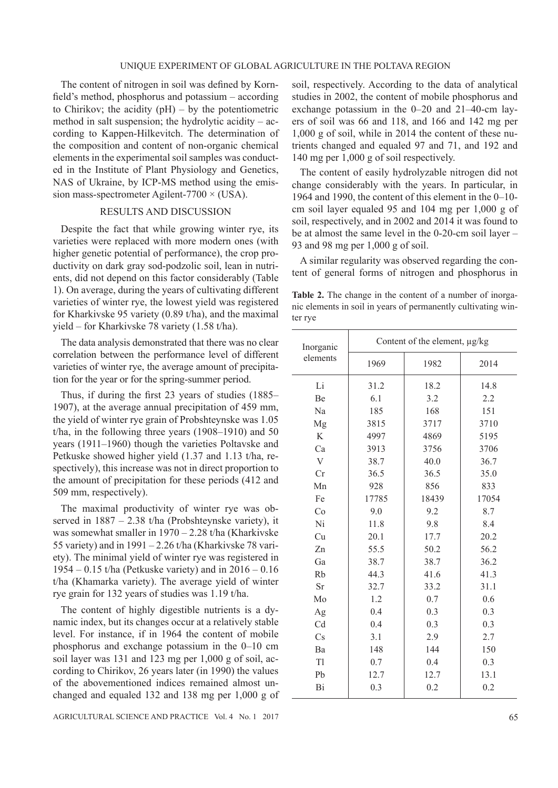The content of nitrogen in soil was defined by Kornfield's method, phosphorus and potassium – according to Chirikov; the acidity  $(pH)$  – by the potentiometric method in salt suspension; the hydrolytic acidity –  $ac$ cording to Kappen-Hilkevitch. The determination of the composition and content of non-organic chemical elements in the experimental soil samples was conducted in the Institute of Plant Physiology and Genetics, NAS of Ukraine, by ICP-MS method using the emission mass-spectrometer Agilent-7700  $\times$  (USA).

## RESULTS AND DISCUSSION

Despite the fact that while growing winter rye, its varieties were replaced with more modern ones (with higher genetic potential of performance), the crop productivity on dark gray sod-podzolic soil, lean in nutrients, did not depend on this factor considerably (Table 1). On average, during the years of cultivating different varieties of winter rye, the lowest yield was registered for Kharkivske 95 variety (0.89 t/ha), and the maximal yield – for Kharkivske 78 variety (1.58 t/ha).

The data analysis demonstrated that there was no clear correlation between the performance level of different varieties of winter rye, the average amount of precipitation for the year or for the spring-summer period.

Thus, if during the first  $23$  years of studies (1885– 1907), at the average annual precipitation of 459 mm, the yield of winter rye grain of Probshteynske was 1.05 t/ha, in the following three years (1908–1910) and 50 years (1911–1960) though the varieties Poltavske and Petkuske showed higher yield (1.37 and 1.13 t/ha, respectively), this increase was not in direct proportion to the amount of precipitation for these periods (412 and 509 mm, respectively).

The maximal productivity of winter rye was observed in 1887 – 2.38 t/ha (Probshteynske variety), it was somewhat smaller in 1970 – 2.28 t/ha (Kharkivske 55 variety) and in 1991 – 2.26 t/ha (Kharkivske 78 variety). The minimal yield of winter rye was registered in 1954 – 0.15 t/ha (Petkuske variety) and in 2016 – 0.16 t/ha (Khamarka variety). The average yield of winter rye grain for 132 years of studies was 1.19 t/ha.

The content of highly digestible nutrients is a dynamic index, but its changes occur at a relatively stable level. For instance, if in 1964 the content of mobile phosphorus and exchange potassium in the 0–10 cm soil layer was 131 and 123 mg per 1,000 g of soil, according to Chirikov, 26 years later (in 1990) the values of the abovementioned indices remained almost unchanged and equaled 132 and 138 mg per 1,000 g of soil, respectively. According to the data of analytical studies in 2002, the content of mobile phosphorus and exchange potassium in the 0–20 and 21–40-cm layers of soil was 66 and 118, and 166 and 142 mg per 1,000 g of soil, while in 2014 the content of these nutrients changed and equaled 97 and 71, and 192 and 140 mg per 1,000 g of soil respectively.

The content of easily hydrolyzable nitrogen did not change considerably with the years. In particular, in 1964 and 1990, the content of this element in the 0–10 cm soil layer equaled 95 and 104 mg per 1,000 g of soil, respectively, and in 2002 and 2014 it was found to be at almost the same level in the 0-20-cm soil layer – 93 and 98 mg per 1,000 g of soil.

A similar regularity was observed regarding the content of general forms of nitrogen and phosphorus in

**Table 2.** The change in the content of a number of inorganic elements in soil in years of permanently cultivating winter rye

| Inorganic | Content of the element, µg/kg |       |       |  |  |
|-----------|-------------------------------|-------|-------|--|--|
| elements  | 1969                          | 1982  | 2014  |  |  |
| Li        | 31.2                          | 18.2  | 14.8  |  |  |
| Be        | 6.1                           | 3.2   | 2.2   |  |  |
| Na        | 185                           | 168   | 151   |  |  |
| Mg        | 3815                          | 3717  | 3710  |  |  |
| K         | 4997                          | 4869  | 5195  |  |  |
| Ca        | 3913                          | 3756  | 3706  |  |  |
| V         | 38.7                          | 40.0  | 36.7  |  |  |
| Cr        | 36.5                          | 36.5  | 35.0  |  |  |
| Mn        | 928                           | 856   | 833   |  |  |
| Fe        | 17785                         | 18439 | 17054 |  |  |
| Co        | 9.0                           | 9.2   | 8.7   |  |  |
| Ni        | 11.8                          | 9.8   | 8.4   |  |  |
| Cu        | 20.1                          | 17.7  | 20.2  |  |  |
| Zn        | 55.5                          | 50.2  | 56.2  |  |  |
| Ga        | 38.7                          | 38.7  | 36.2  |  |  |
| Rb        | 44.3                          | 41.6  | 41.3  |  |  |
| <b>Sr</b> | 32.7                          | 33.2  | 31.1  |  |  |
| Mo        | 1.2                           | 0.7   | 0.6   |  |  |
| Ag        | 0.4                           | 0.3   | 0.3   |  |  |
| Cd        | 0.4                           | 0.3   | 0.3   |  |  |
| Cs        | 3.1                           | 2.9   | 2.7   |  |  |
| Ba        | 148                           | 144   | 150   |  |  |
| T1        | 0.7                           | 0.4   | 0.3   |  |  |
| Pb        | 12.7                          | 12.7  | 13.1  |  |  |
| Bi        | 0.3                           | 0.2   | 0.2   |  |  |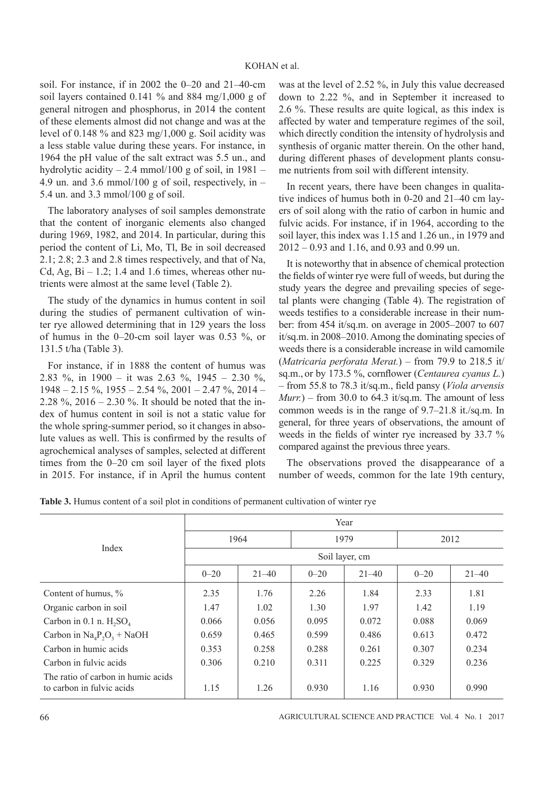# KOHAN et al.

soil. For instance, if in 2002 the 0–20 and 21–40-cm soil layers contained 0.141 % and 884 mg/1,000 g of general nitrogen and phosphorus, in 2014 the content of these elements almost did not change and was at the level of 0.148  $\%$  and 823 mg/1,000 g. Soil acidity was a less stable value during these years. For instance, in 1964 the pH value of the salt extract was 5.5 un., and hydrolytic acidity – 2.4 mmol/100 g of soil, in  $1981$  – 4.9 un. and 3.6 mmol/100 g of soil, respectively, in  $-$ 5.4 un. and 3.3 mmol/100 g of soil.

The laboratory analyses of soil samples demonstrate that the content of inorganic elements also changed during 1969, 1982, and 2014. In particular, during this period the content of Li, Mo, Tl, Be in soil decreased 2.1; 2.8; 2.3 and 2.8 times respectively, and that of Na, Cd, Ag,  $Bi - 1.2$ ; 1.4 and 1.6 times, whereas other nutrients were almost at the same level (Table 2).

The study of the dynamics in humus content in soil during the studies of permanent cultivation of winter rye allowed determining that in 129 years the loss of humus in the 0–20-cm soil layer was 0.53 %, or 131.5 t/ha (Table 3).

For instance, if in 1888 the content of humus was 2.83 %, in 1900 – it was 2.63 %, 1945 – 2.30 %,  $1948 - 2.15 \%$ ,  $1955 - 2.54 \%$ ,  $2001 - 2.47 \%$ ,  $2014 -$ 2.28 %, 2016 – 2.30 %. It should be noted that the index of humus content in soil is not a static value for the whole spring-summer period, so it changes in absolute values as well. This is confirmed by the results of agrochemical analyses of samples, selected at different times from the  $0-20$  cm soil layer of the fixed plots in 2015. For instance, if in April the humus content

was at the level of 2.52 %, in July this value decreased down to 2.22 %, and in September it increased to 2.6 %. These results are quite logical, as this index is affected by water and temperature regimes of the soil, which directly condition the intensity of hydrolysis and synthesis of organic matter therein. On the other hand, during different phases of development plants consume nutrients from soil with different intensity.

In recent years, there have been changes in qualitative indices of humus both in 0-20 and 21–40 cm layers of soil along with the ratio of carbon in humic and fulvic acids. For instance, if in 1964, according to the soil layer, this index was 1.15 and 1.26 un., in 1979 and 2012 – 0.93 and 1.16, and 0.93 and 0.99 un.

It is noteworthy that in absence of chemical protection the fields of winter rye were full of weeds, but during the study years the degree and prevailing species of segetal plants were changing (Table 4). The registration of weeds testifies to a considerable increase in their number: from 454 it/sq.m. on average in 2005–2007 to 607 it/sq.m. in 2008–2010. Among the dominating species of weeds there is a considerable increase in wild camomile (*Matrɿcarɿa perforata Merat.*) – from 79.9 to 218.5 it/ sq.m., or by 173.5 %, cornflower (*Centaurea cyanus L.*) – from 55.8 to 78.3 it/sq.m., field pansy (*Viola arvensis*  $Murr.$ ) – from 30.0 to 64.3 it/sq.m. The amount of less common weeds is in the range of 9.7–21.8 it./sq.m. In general, for three years of observations, the amount of weeds in the fields of winter rye increased by  $33.7 \%$ compared against the previous three years.

The observations proved the disappearance of a number of weeds, common for the late 19th century,

|                                                                 | Year           |           |          |           |          |           |  |
|-----------------------------------------------------------------|----------------|-----------|----------|-----------|----------|-----------|--|
|                                                                 | 1964           |           | 1979     |           | 2012     |           |  |
| Index                                                           | Soil layer, cm |           |          |           |          |           |  |
|                                                                 | $0 - 20$       | $21 - 40$ | $0 - 20$ | $21 - 40$ | $0 - 20$ | $21 - 40$ |  |
| Content of humus, %                                             | 2.35           | 1.76      | 2.26     | 1.84      | 2.33     | 1.81      |  |
| Organic carbon in soil                                          | 1.47           | 1.02      | 1.30     | 1.97      | 1.42     | 1.19      |  |
| Carbon in 0.1 n. $H_2SO_4$                                      | 0.066          | 0.056     | 0.095    | 0.072     | 0.088    | 0.069     |  |
| Carbon in $Na_4P_2O_3 + NaOH$                                   | 0.659          | 0.465     | 0.599    | 0.486     | 0.613    | 0.472     |  |
| Carbon in humic acids                                           | 0.353          | 0.258     | 0.288    | 0.261     | 0.307    | 0.234     |  |
| Carbon in fulvic acids                                          | 0.306          | 0.210     | 0.311    | 0.225     | 0.329    | 0.236     |  |
| The ratio of carbon in humic acids<br>to carbon in fulvic acids | 1.15           | 1.26      | 0.930    | 1.16      | 0.930    | 0.990     |  |

66 AGRICULTURAL SCIENCE AND PRACTICE Vol. 4 No. 1 2017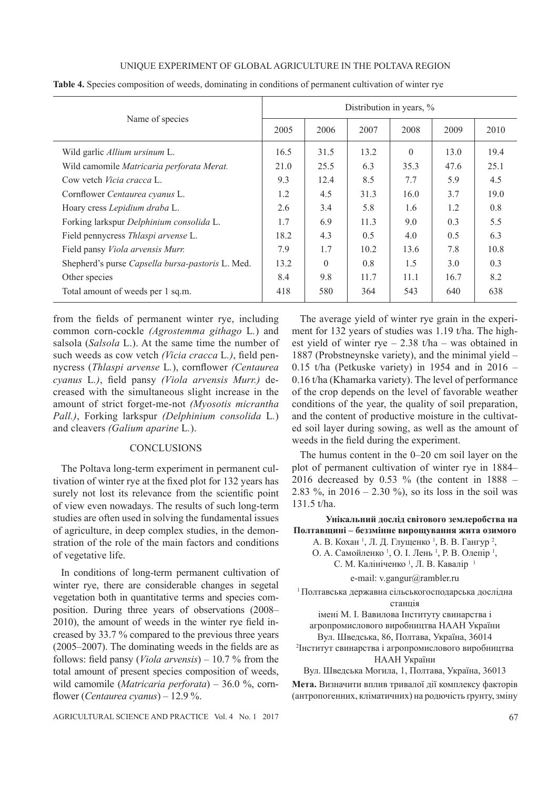# UNIQUE EXPERIMENT OF GLOBAL AGRICULTURE IN THE POLTAVA REGION

|                                                  | Distribution in years, % |          |      |          |      |      |
|--------------------------------------------------|--------------------------|----------|------|----------|------|------|
| Name of species                                  | 2005                     | 2006     | 2007 | 2008     | 2009 | 2010 |
| Wild garlic Allium ursinum L.                    | 16.5                     | 31.5     | 13.2 | $\theta$ | 13.0 | 19.4 |
| Wild camomile Matricaria perforata Merat.        | 21.0                     | 25.5     | 6.3  | 35.3     | 47.6 | 25.1 |
| Cow vetch <i>Vicia cracca</i> L.                 | 9.3                      | 12.4     | 8.5  | 7.7      | 5.9  | 4.5  |
| Cornflower Centaurea cyanus L.                   | 1.2                      | 4.5      | 31.3 | 16.0     | 3.7  | 19.0 |
| Hoary cress Lepidium draba L.                    | 2.6                      | 3.4      | 5.8  | 1.6      | 1.2  | 0.8  |
| Forking larkspur Delphinium consolida L.         | 1.7                      | 6.9      | 11.3 | 9.0      | 0.3  | 5.5  |
| Field pennycress Thlaspi arvense L.              | 18.2                     | 4.3      | 0.5  | 4.0      | 0.5  | 6.3  |
| Field pansy Viola arvensis Murr.                 | 7.9                      | 1.7      | 10.2 | 13.6     | 7.8  | 10.8 |
| Shepherd's purse Capsella bursa-pastoris L. Med. | 13.2                     | $\Omega$ | 0.8  | 1.5      | 3.0  | 0.3  |
| Other species                                    | 8.4                      | 9.8      | 11.7 | 11.1     | 16.7 | 8.2  |
| Total amount of weeds per 1 sq.m.                | 418                      | 580      | 364  | 543      | 640  | 638  |

**Table 4.** Species composition of weeds, dominating in conditions of permanent cultivation of winter rye

from the fields of permanent winter rye, including common corn-cockle *(Agrostemma githago* L*.*) and salsola (*Salsola* L.). At the same time the number of such weeds as cow vetch (Vicia cracca L.), field pennycress (*Thlaspi arvense L.*), cornflower *(Centaurea*) *cyanus L.)*, field pansy *(Viola arvensis Murr.)* decreased with the simultaneous slight increase in the amount of strict forget-me-not *(Myosotis micrantha Pall.)*, Forking larkspur *(Delphinium consolida* L*.*) and cleavers *(Galium aparine* L*.*).

### **CONCLUSIONS**

The Poltava long-term experiment in permanent cultivation of winter rye at the fixed plot for 132 years has surely not lost its relevance from the scientific point of view even nowadays. The results of such long-term studies are often used in solving the fundamental issues of agriculture, in deep complex studies, in the demonstration of the role of the main factors and conditions of vegetative life.

In conditions of long-term permanent cultivation of winter rye, there are considerable changes in segetal vegetation both in quantitative terms and species composition. During three years of observations (2008–  $2010$ ), the amount of weeds in the winter rye field increased by 33.7 % compared to the previous three years  $(2005–2007)$ . The dominating weeds in the fields are as follows: field pansy (*Viola arvensis*) – 10.7 % from the total amount of present species composition of weeds, wild camomile (*Matricaria perforata*) – 36.0 %, corn-À ower (*Centaurea cyanus*) – 12.9 %.

The average yield of winter rye grain in the experiment for 132 years of studies was 1.19 t/ha. The highest yield of winter rye  $- 2.38$  t/ha – was obtained in 1887 (Probstneynske variety), and the minimal yield – 0.15 t/ha (Petkuske variety) in 1954 and in 2016 – 0.16 t/ha (Khamarka variety). The level of performance of the crop depends on the level of favorable weather conditions of the year, the quality of soil preparation, and the content of productive moisture in the cultivated soil layer during sowing, as well as the amount of weeds in the field during the experiment.

The humus content in the 0–20 cm soil layer on the plot of permanent cultivation of winter rye in 1884– 2016 decreased by 0.53 % (the content in 1888 – 2.83 %, in  $2016 - 2.30$  %), so its loss in the soil was 131.5 t/ha.

### Унікальний дослід світового землеробства на Полтавщині – беззмінне вирощування жита озимого

А. В. Кохан<sup>1</sup>, Л. Д. Глущенко<sup>1</sup>, В. В. Гангур<sup>2</sup>,

О. А. Самойленко<sup>1</sup>, О. І. Лень<sup>1</sup>, Р. В. Олепір<sup>1</sup>,

С. М. Калініченко<sup>1</sup>, Л. В. Кавалір<sup>1</sup>

e-mail: v.gangur@rambler.ru

<sup>1</sup> Полтавська державна сільськогосподарська дослідна станція

імені М. І. Вавилова Інституту свинарства і агропромислового виробництва НААН України

Вул. Шведська, 86, Полтава, Україна, 36014 <sup>2</sup>Інститут свинарства і агропромислового виробництва

НААН України

Вул. Шведська Могила, 1, Полтава, Україна, 36013

Мета. Визначити вплив тривалої дії комплексу факторів (антропогенних, кліматичних) на родючість ґрунту, зміну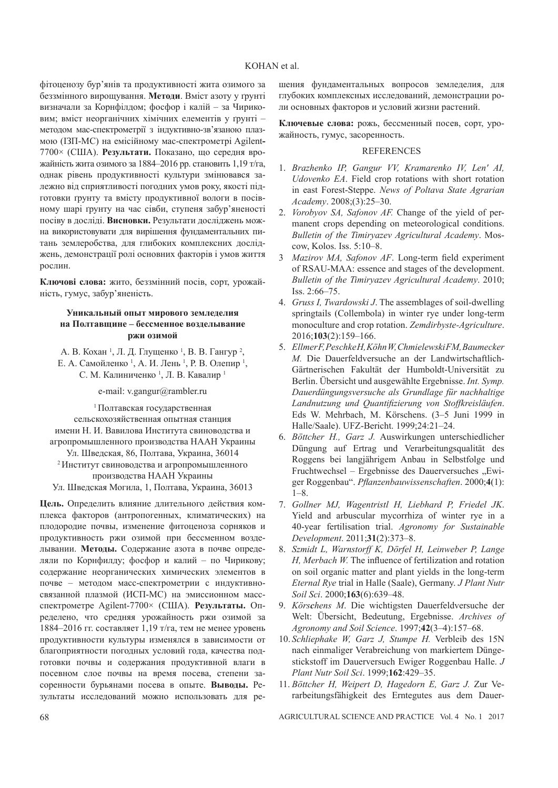фітоценозу бур'янів та продуктивності жита озимого за беззмінного вирощування. Методи. Вміст азоту у ґрунті визначали за Корнфілдом; фосфор і калій – за Чириковим; вміст неорганічних хімічних елементів у ґрунті – методом мас-спектрометрії з індуктивно-зв'язаною плазмою (I3II-MC) на емісійному мас-спектрометрі Agilent-7700× (США). **Результати.** Показано, що середня врожайність жита озимого за 1884–2016 рр. становить 1,19 т/га, однак рівень продуктивності культури змінювався залежно від сприятливості погодних умов року, якості підготовки грунту та вмісту продуктивної вологи в посівному шарі ґрунту на час сівби, ступеня забур'яненості посіву в досліді. Висновки. Результати досліджень можна використовувати для вирішення фундаментальних питань землеробства, для глибоких комплексних досліджень, демонстрації ролі основних факторів і умов життя рослин.

Ключові слова: жито, беззмінний посів, сорт, урожайність, гумус, забур'яненість.

#### **Уникальный опыт мирового земледелия на Полтавщине – бессменное возделывание DЖИ ОЗИМОЙ**

А. В. Кохан<sup>1</sup>, Л. Д. Глущенко<sup>1</sup>, В. В. Гангур<sup>2</sup>, Е. А. Самойленко<sup>1</sup>, А. И. Лень<sup>1</sup>, Р. В. Олепир<sup>1</sup>, С. М. Калиниченко<sup>1</sup>, Л. В. Кавалир<sup>1</sup>

e-mail: v.gangur@rambler.ru

1 Полтавская государственная сельскохозяйственная опытная станция имени Н. И. Вавилова Института свиноводства и агропромышленного производства НААН Украины Ул. Шведская, 86, Полтава, Украина, 36014 <sup>2</sup>Институт свиноводства и агропромышленного производства НААН Украины Ул. Шведская Могила, 1, Полтава, Украина, 36013

**Цель.** Определить влияние длительного действия комплекса факторов (антропогенных, климатических) на плодородие почвы, изменение фитоценоза сорняков и продуктивность ржи озимой при бессменном возделывании. Методы. Содержание азота в почве определяли по Корнфилду; фосфор и калий – по Чирикову; содержание неорганических химических элементов в почве – методом масс-спектрометрии с индуктивносвязанной плазмой (ИСП-МС) на эмиссионном массспектрометре Agilent-7700× (США). **Результаты.** Определено, что средняя урожайность ржи озимой за 1884–2016 гг. составляет 1,19 т/га, тем не менее уровень продуктивности культуры изменялся в зависимости от благоприятности погодных условий года, качества подготовки почвы и содержания продуктивной влаги в посевном слое почвы на время посева, степени засоренности бурьянами посева в опыте. Выводы. Результаты исследований можно использовать для ре-

шения фундаментальных вопросов земледелия, для глубоких комплексных исследований, демонстрации роли основных факторов и условий жизни растений.

**Ключевые слова:** рожь, бессменный посев, сорт, урожайность, гумус, засоренность.

### **REFERENCES**

- 1. *Brazhenko IP, Gangur VV, Kramarenko IV, Len' AI, Udovenko EA*. Field crop rotations with short rotation in east Forest-Steppe. *News of Poltava State Agrarian Academy*. 2008;(3):25–30.
- 2. *Vorobyov SA, Safonov AF.* Change of the yield of permanent crops depending on meteorological conditions. *Bulletin of the Timiryazev Agricultural Academy*. Moscow, Kolos. Iss. 5:10–8.
- 3 *Mazirov MA, Safonov AF*. Long-term field experiment of RSAU-MAA: essence and stages of the development. *Bulletin of the Timiryazev Agricultural Academy*. 2010; Iss. 2:66–75.
- 4. *Gruss I, Twardowski J*. The assemblages of soil-dwelling springtails (Collembola) in winter rye under long-term monoculture and crop rotation. *Zemdirbyste-Agriculture*. 2016;**103**(2):159–166.
- 5. *Ellmer F, Peschke H, Köhn W, Chmielewski FM, Baumecker M.* Die Dauerfeldversuche an der Landwirtschaftlich-Gärtnerischen Fakultät der Humboldt-Universität zu Berlin. Übersicht und ausgewählte Ergebnisse. *Int. Symp. Dauerdüngungsversuche als Grundlage für nachhaltige Landnutzung und Quanti¿ zierung von Stoffkreisläufen*. Eds W. Mehrbach, M. Körschens. (3–5 Juni 1999 in Halle/Saale). UFZ-Bericht. 1999;24:21–24.
- 6. *Böttcher H., Garz J.* Auswirkungen unterschiedlicher Düngung auf Ertrag und Verarbeitungsqualität des Roggens bei langjährigem Anbau in Selbstfolge und Fruchtwechsel – Ergebnisse des Dauerversuches "Ewiger Roggenbau". *PÀ anzenbauwissenschaften*. 2000;**4**(1):  $1 - 8$
- 7. *Gollner MJ, Wagentristl H, Liebhard P, Friedel JK*. Yield and arbuscular mycorrhiza of winter rye in a 40-year fertilisation trial. *Agronomy for Sustainable Development*. 2011;**31**(2):373–8.
- 8. *Szmidt L, Warnstorff K, Dörfel H, Leinweber P, Lange H, Merbach W.* The influence of fertilization and rotation on soil organic matter and plant yields in the long-term *Eternal Rye* trial in Halle (Saale), Germany. *J Plant Nutr Soil Sci*. 2000;**163**(6):639–48.
- 9. *Körschens M*. Die wichtigsten Dauerfeldversuche der Welt: Übersicht, Bedeutung, Ergebnisse. *Archives of Agronomy and Soil Science*. 1997;**42**(3–4):157–68.
- 10. *Schliephake W, Garz J, Stumpe H.* Verbleib des 15N nach einmaliger Verabreichung von markiertem Düngestickstoff im Dauerversuch Ewiger Roggenbau Halle. *J Plant Nutr Soil Sci*. 1999;**162**:429–35.
- 11. *Böttcher H, Weipert D, Hagedorn E, Garz J.* Zur Verarbeitungsfähigkeit des Erntegutes aus dem Dauer-

68 AGRICULTURAL SCIENCE AND PRACTICE Vol. 4 No. 1 2017